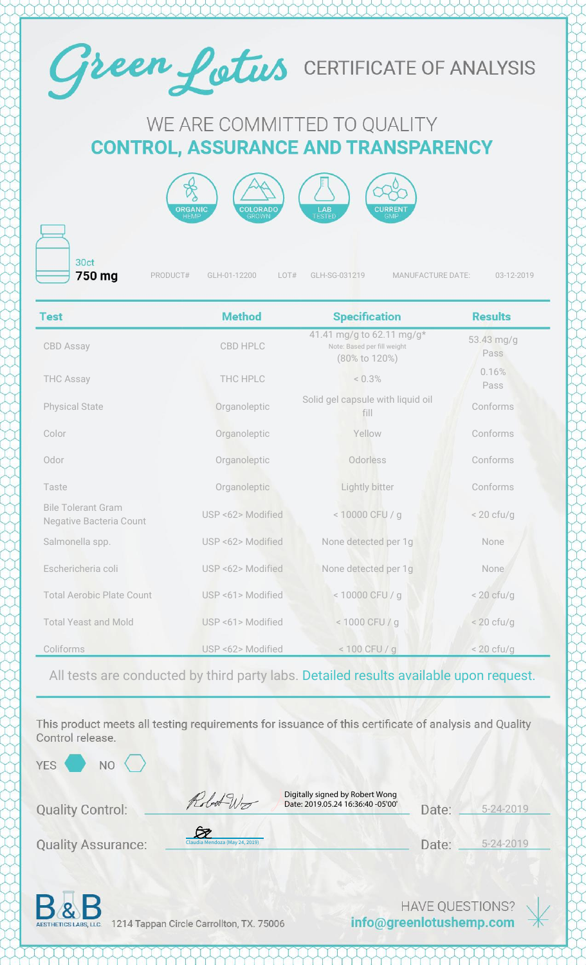

## WE ARE COMMITTED TO QUALITY **CONTROL, ASSURANCE AND TRANSPARENCY**



30ct 750 mg

PRODUCT# GLH-01-12200 LOT# GLH-SG-031219 MANUFACTURE DATE: 03-12-2019

| <b>Test</b>                                                 | <b>Method</b>     | <b>Specification</b>                                                      | <b>Results</b>     |
|-------------------------------------------------------------|-------------------|---------------------------------------------------------------------------|--------------------|
| <b>CBD Assay</b>                                            | <b>CBD HPLC</b>   | 41.41 mg/g to 62.11 mg/g*<br>Note: Based per fill weight<br>(80% to 120%) | 53.43 mg/g<br>Pass |
| <b>THC Assay</b>                                            | THC HPLC          | $< 0.3\%$                                                                 | 0.16%<br>Pass      |
| <b>Physical State</b>                                       | Organoleptic      | Solid gel capsule with liquid oil<br>fill                                 | Conforms           |
| Color                                                       | Organoleptic      | Yellow                                                                    | Conforms           |
| Odor                                                        | Organoleptic      | Odorless                                                                  | Conforms           |
| Taste                                                       | Organoleptic      | Lightly bitter                                                            | Conforms           |
| <b>Bile Tolerant Gram</b><br><b>Negative Bacteria Count</b> | USP <62> Modified | < 10000 CFU / g                                                           | $< 20$ cfu/g       |
| Salmonella spp.                                             | USP <62> Modified | None detected per 1g                                                      | None               |
| Eschericheria coli                                          | USP <62> Modified | None detected per 1g                                                      | None               |
| <b>Total Aerobic Plate Count</b>                            | USP <61> Modified | < 10000 CFU / g                                                           | $<$ 20 cfu/g       |
| <b>Total Yeast and Mold</b>                                 | USP <61> Modified | < 1000 CFU / g                                                            | $< 20$ cfu/g       |
| Coliforms                                                   | USP <62> Modified | $< 100$ CFU / g                                                           | $< 20$ cfu/g       |

All tests are conducted by third party labs. Detailed results available upon request.

This product meets all testing requirements for issuance of this certificate of analysis and Quality Control release.

YES<sup></sup>

**NO** 

**Quality Control:** 

**Quality Assurance:** 

Digitally signed by Robert Wong Date: 2019.05.24 16:36:40 -05'00'

5-24-2019 Date:

5-24-2019 Date:



1214 Tappan Circle Carrollton, TX. 75006

[Claudia Mendoza \(May 24, 2019\)](https://na2.documents.adobe.com/verifier?tx=CBJCHBCAABAAo5VSCWhRpjLFjEWI0Mf-MLlhxvmNip-Z)

Robot Wo

**HAVE QUESTIONS?** info@greenlotushemp.com